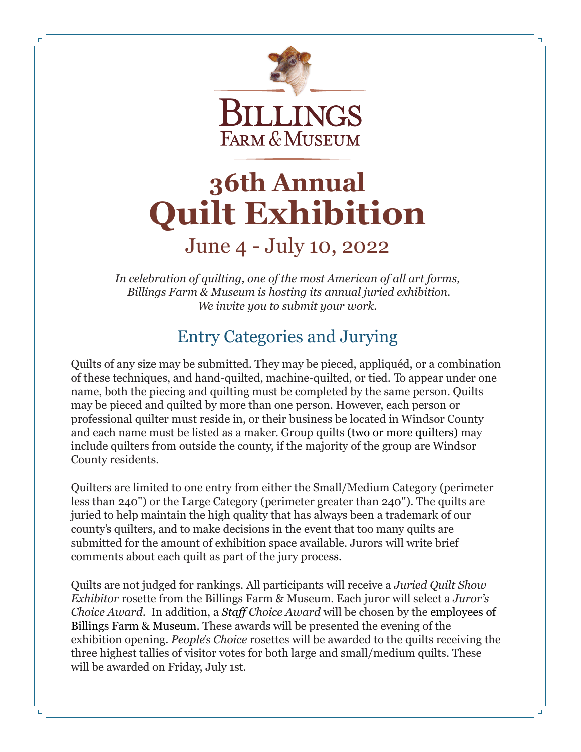

Lр

市

# **36th Annual Quilt Exhibition**

# June 4 - July 10, 2022

*In celebration of quilting, one of the most American of all art forms, Billings Farm & Museum is hosting its annual juried exhibition. We invite you to submit your work.*

#### Entry Categories and Jurying

Quilts of any size may be submitted. They may be pieced, appliquéd, or a combination of these techniques, and hand-quilted, machine-quilted, or tied. To appear under one name, both the piecing and quilting must be completed by the same person. Quilts may be pieced and quilted by more than one person. However, each person or professional quilter must reside in, or their business be located in Windsor County and each name must be listed as a maker. Group quilts (two or more quilters) may include quilters from outside the county, if the majority of the group are Windsor County residents.

Quilters are limited to one entry from either the Small/Medium Category (perimeter less than 240") or the Large Category (perimeter greater than 240"). The quilts are juried to help maintain the high quality that has always been a trademark of our county's quilters, and to make decisions in the event that too many quilts are submitted for the amount of exhibition space available. Jurors will write brief comments about each quilt as part of the jury process.

Quilts are not judged for rankings. All participants will receive a *Juried Quilt Show Exhibitor* rosette from the Billings Farm & Museum. Each juror will select a *Juror's Choice Award*. In addition, a *Staff Choice Award* will be chosen by the employees of Billings Farm & Museum. These awards will be presented the evening of the exhibition opening. *People's Choice* rosettes will be awarded to the quilts receiving the three highest tallies of visitor votes for both large and small/medium quilts. These will be awarded on Friday, July 1st.

寸

 $\overline{4}$